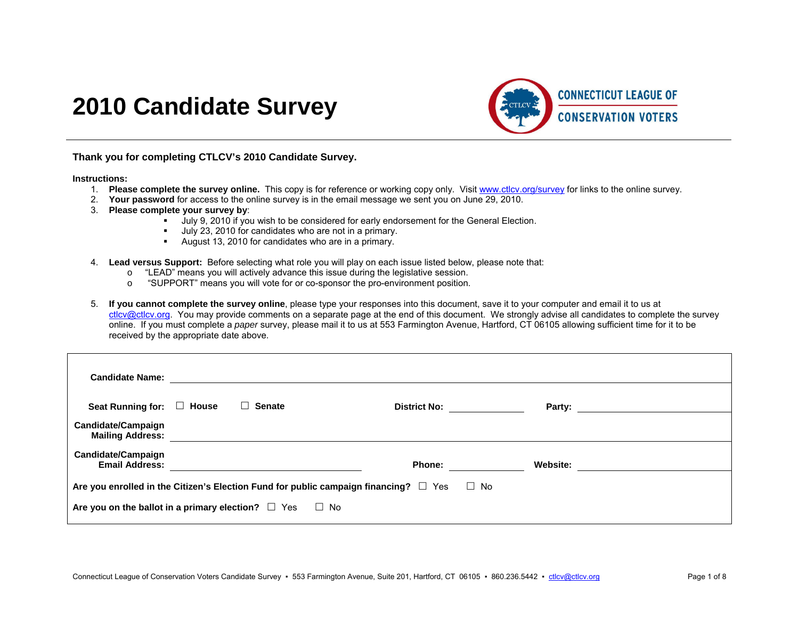# **2010 Candidate Survey**



**Thank you for completing CTLCV's 2010 Candidate Survey.** 

#### **Instructions:**

- 1. **Please complete the survey online.** This copy is for reference or working copy only. Visit www.ctlcv.org/survey for links to the online survey.
- 2. **Your password** for access to the online survey is in the email message we sent you on June 29, 2010.
- 3. **Please complete your survey by**:
	- July 9, 2010 if you wish to be considered for early endorsement for the General Election.
	- July 23, 2010 for candidates who are not in a primary.
	- August 13, 2010 for candidates who are in a primary.
- 4. **Lead versus Support:** Before selecting what role you will play on each issue listed below, please note that:
	- $\circ$  "LEAD" means you will actively advance this issue during the legislative session.
	- <sup>o</sup> "SUPPORT" means you will vote for or co-sponsor the pro-environment position.
- 5. **If you cannot complete the survey online**, please type your responses into this document, save it to your computer and email it to us at ctlcv@ctlcv.org. You may provide comments on a separate page at the end of this document. We strongly advise all candidates to complete the survey online. If you must complete a *paper* survey, please mail it to us at 553 Farmington Avenue, Hartford, CT 06105 allowing sufficient time for it to be received by the appropriate date above.

| <b>Candidate Name:</b>                                                                               |  |               |                     |          |                          |  |  |
|------------------------------------------------------------------------------------------------------|--|---------------|---------------------|----------|--------------------------|--|--|
| Seat Running for: $\Box$ House                                                                       |  | $\Box$ Senate | <b>District No:</b> |          | Party: _________________ |  |  |
| Candidate/Campaign<br><b>Mailing Address:</b>                                                        |  |               |                     |          |                          |  |  |
| Candidate/Campaign<br><b>Email Address:</b>                                                          |  |               | <b>Phone:</b>       | Website: |                          |  |  |
| Are you enrolled in the Citizen's Election Fund for public campaign financing? $\square$ Yes<br>⊟ No |  |               |                     |          |                          |  |  |
| Are you on the ballot in a primary election? $\Box$ Yes<br>$\Box$ No                                 |  |               |                     |          |                          |  |  |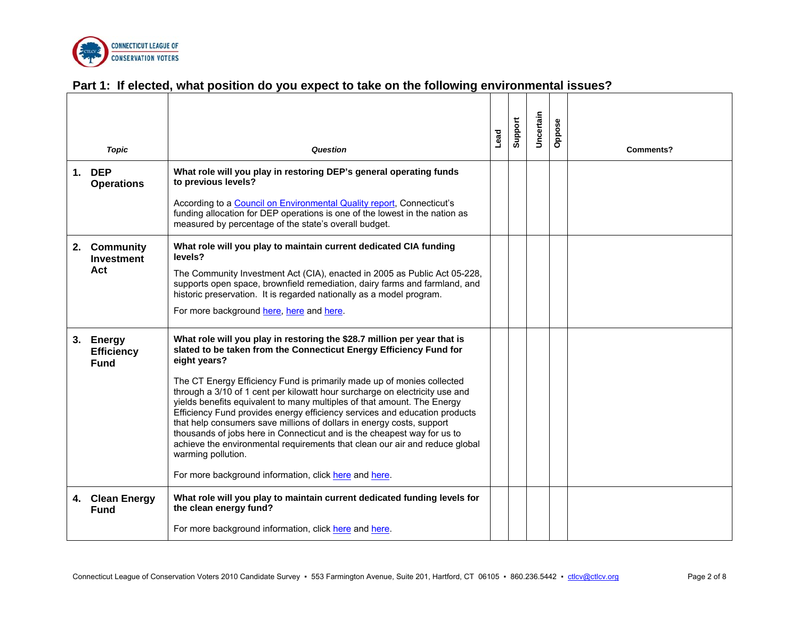

### **Part 1: If elected, what position do you expect to take on the following environmental issues?**

| <b>Topic</b>                                  | <b>Question</b>                                                                                                                                                                                                                                                                                                                                                                                                                                                                                                                                                                                                                                                                                                                                                                                    | Lead | Support | Uncertain | Oppose | <b>Comments?</b> |
|-----------------------------------------------|----------------------------------------------------------------------------------------------------------------------------------------------------------------------------------------------------------------------------------------------------------------------------------------------------------------------------------------------------------------------------------------------------------------------------------------------------------------------------------------------------------------------------------------------------------------------------------------------------------------------------------------------------------------------------------------------------------------------------------------------------------------------------------------------------|------|---------|-----------|--------|------------------|
| 1. DEP<br><b>Operations</b>                   | What role will you play in restoring DEP's general operating funds<br>to previous levels?<br>According to a Council on Environmental Quality report, Connecticut's<br>funding allocation for DEP operations is one of the lowest in the nation as<br>measured by percentage of the state's overall budget.                                                                                                                                                                                                                                                                                                                                                                                                                                                                                         |      |         |           |        |                  |
| 2. Community<br><b>Investment</b><br>Act      | What role will you play to maintain current dedicated CIA funding<br>levels?<br>The Community Investment Act (CIA), enacted in 2005 as Public Act 05-228,<br>supports open space, brownfield remediation, dairy farms and farmland, and<br>historic preservation. It is regarded nationally as a model program.<br>For more background here, here and here.                                                                                                                                                                                                                                                                                                                                                                                                                                        |      |         |           |        |                  |
| 3. Energy<br><b>Efficiency</b><br><b>Fund</b> | What role will you play in restoring the \$28.7 million per year that is<br>slated to be taken from the Connecticut Energy Efficiency Fund for<br>eight years?<br>The CT Energy Efficiency Fund is primarily made up of monies collected<br>through a 3/10 of 1 cent per kilowatt hour surcharge on electricity use and<br>yields benefits equivalent to many multiples of that amount. The Energy<br>Efficiency Fund provides energy efficiency services and education products<br>that help consumers save millions of dollars in energy costs, support<br>thousands of jobs here in Connecticut and is the cheapest way for us to<br>achieve the environmental requirements that clean our air and reduce global<br>warming pollution.<br>For more background information, click here and here. |      |         |           |        |                  |
| 4. Clean Energy<br><b>Fund</b>                | What role will you play to maintain current dedicated funding levels for<br>the clean energy fund?<br>For more background information, click here and here.                                                                                                                                                                                                                                                                                                                                                                                                                                                                                                                                                                                                                                        |      |         |           |        |                  |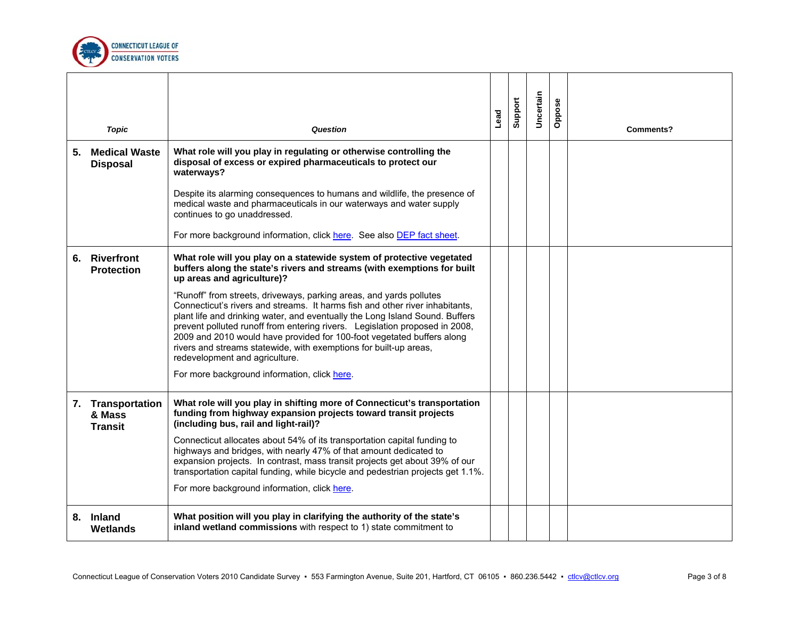

|    | <b>Topic</b>                                  | Question                                                                                                                                                                                                                                                                                                                                                                                                                                                                                                                                            | Lead | Support | Uncertain | Oppose | Comments? |
|----|-----------------------------------------------|-----------------------------------------------------------------------------------------------------------------------------------------------------------------------------------------------------------------------------------------------------------------------------------------------------------------------------------------------------------------------------------------------------------------------------------------------------------------------------------------------------------------------------------------------------|------|---------|-----------|--------|-----------|
| 5. | <b>Medical Waste</b><br><b>Disposal</b>       | What role will you play in regulating or otherwise controlling the<br>disposal of excess or expired pharmaceuticals to protect our<br>waterways?                                                                                                                                                                                                                                                                                                                                                                                                    |      |         |           |        |           |
|    |                                               | Despite its alarming consequences to humans and wildlife, the presence of<br>medical waste and pharmaceuticals in our waterways and water supply<br>continues to go unaddressed.                                                                                                                                                                                                                                                                                                                                                                    |      |         |           |        |           |
|    |                                               | For more background information, click here. See also DEP fact sheet.                                                                                                                                                                                                                                                                                                                                                                                                                                                                               |      |         |           |        |           |
|    | 6. Riverfront<br><b>Protection</b>            | What role will you play on a statewide system of protective vegetated<br>buffers along the state's rivers and streams (with exemptions for built<br>up areas and agriculture)?                                                                                                                                                                                                                                                                                                                                                                      |      |         |           |        |           |
|    |                                               | "Runoff" from streets, driveways, parking areas, and yards pollutes<br>Connecticut's rivers and streams. It harms fish and other river inhabitants,<br>plant life and drinking water, and eventually the Long Island Sound. Buffers<br>prevent polluted runoff from entering rivers. Legislation proposed in 2008,<br>2009 and 2010 would have provided for 100-foot vegetated buffers along<br>rivers and streams statewide, with exemptions for built-up areas,<br>redevelopment and agriculture.<br>For more background information, click here. |      |         |           |        |           |
|    | 7. Transportation<br>& Mass<br><b>Transit</b> | What role will you play in shifting more of Connecticut's transportation<br>funding from highway expansion projects toward transit projects<br>(including bus, rail and light-rail)?                                                                                                                                                                                                                                                                                                                                                                |      |         |           |        |           |
|    |                                               | Connecticut allocates about 54% of its transportation capital funding to<br>highways and bridges, with nearly 47% of that amount dedicated to<br>expansion projects. In contrast, mass transit projects get about 39% of our<br>transportation capital funding, while bicycle and pedestrian projects get 1.1%.                                                                                                                                                                                                                                     |      |         |           |        |           |
|    |                                               | For more background information, click here.                                                                                                                                                                                                                                                                                                                                                                                                                                                                                                        |      |         |           |        |           |
|    | 8. Inland<br>Wetlands                         | What position will you play in clarifying the authority of the state's<br>inland wetland commissions with respect to 1) state commitment to                                                                                                                                                                                                                                                                                                                                                                                                         |      |         |           |        |           |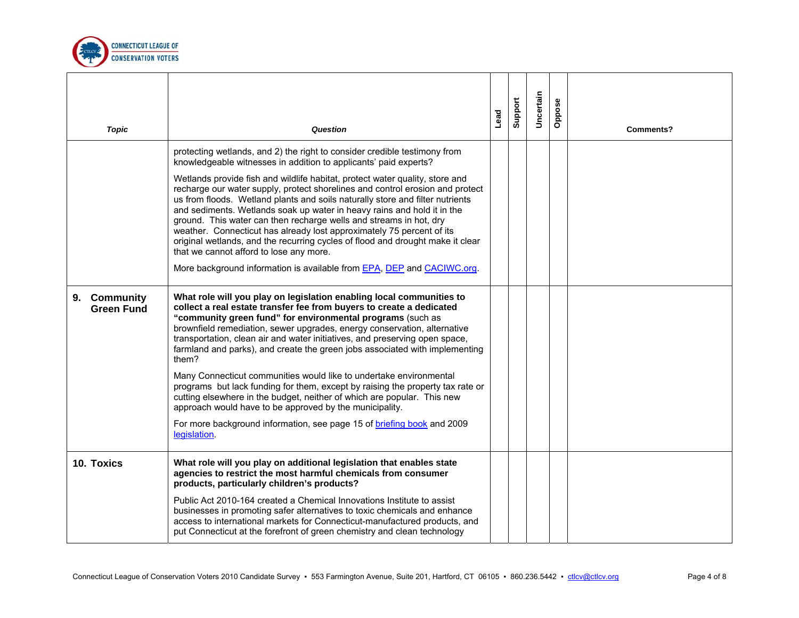

| <b>Topic</b>                      | Question                                                                                                                                                                                                                                                                                                                                                                                                                                                                                                                                                                                                                                                                                                                                                                                                                                                     | Lead | Support | Uncertain | Oppose | <b>Comments?</b> |
|-----------------------------------|--------------------------------------------------------------------------------------------------------------------------------------------------------------------------------------------------------------------------------------------------------------------------------------------------------------------------------------------------------------------------------------------------------------------------------------------------------------------------------------------------------------------------------------------------------------------------------------------------------------------------------------------------------------------------------------------------------------------------------------------------------------------------------------------------------------------------------------------------------------|------|---------|-----------|--------|------------------|
|                                   | protecting wetlands, and 2) the right to consider credible testimony from<br>knowledgeable witnesses in addition to applicants' paid experts?<br>Wetlands provide fish and wildlife habitat, protect water quality, store and<br>recharge our water supply, protect shorelines and control erosion and protect<br>us from floods. Wetland plants and soils naturally store and filter nutrients<br>and sediments. Wetlands soak up water in heavy rains and hold it in the<br>ground. This water can then recharge wells and streams in hot, dry<br>weather. Connecticut has already lost approximately 75 percent of its<br>original wetlands, and the recurring cycles of flood and drought make it clear<br>that we cannot afford to lose any more.<br>More background information is available from EPA, DEP and CACIWC.org.                             |      |         |           |        |                  |
| 9. Community<br><b>Green Fund</b> | What role will you play on legislation enabling local communities to<br>collect a real estate transfer fee from buyers to create a dedicated<br>"community green fund" for environmental programs (such as<br>brownfield remediation, sewer upgrades, energy conservation, alternative<br>transportation, clean air and water initiatives, and preserving open space,<br>farmland and parks), and create the green jobs associated with implementing<br>them?<br>Many Connecticut communities would like to undertake environmental<br>programs but lack funding for them, except by raising the property tax rate or<br>cutting elsewhere in the budget, neither of which are popular. This new<br>approach would have to be approved by the municipality.<br>For more background information, see page 15 of <b>briefing book</b> and 2009<br>legislation. |      |         |           |        |                  |
| 10. Toxics                        | What role will you play on additional legislation that enables state<br>agencies to restrict the most harmful chemicals from consumer<br>products, particularly children's products?<br>Public Act 2010-164 created a Chemical Innovations Institute to assist<br>businesses in promoting safer alternatives to toxic chemicals and enhance<br>access to international markets for Connecticut-manufactured products, and<br>put Connecticut at the forefront of green chemistry and clean technology                                                                                                                                                                                                                                                                                                                                                        |      |         |           |        |                  |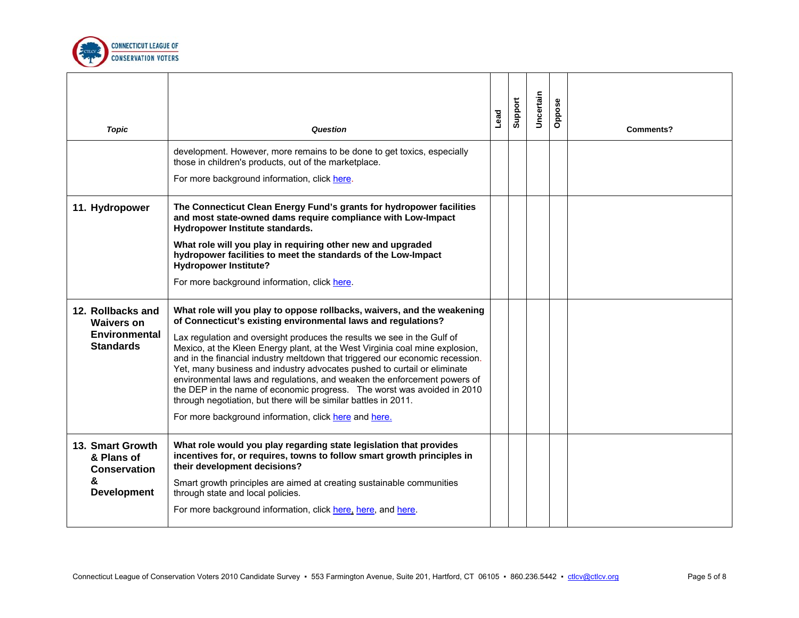

| <b>Topic</b>                                                                       | Question                                                                                                                                                                                                                                                                                                                                                                                                                                                                                                                                                                                                                                                                                                                                            | Lead | Support | Uncertain | Oppose | Comments? |
|------------------------------------------------------------------------------------|-----------------------------------------------------------------------------------------------------------------------------------------------------------------------------------------------------------------------------------------------------------------------------------------------------------------------------------------------------------------------------------------------------------------------------------------------------------------------------------------------------------------------------------------------------------------------------------------------------------------------------------------------------------------------------------------------------------------------------------------------------|------|---------|-----------|--------|-----------|
|                                                                                    | development. However, more remains to be done to get toxics, especially<br>those in children's products, out of the marketplace.<br>For more background information, click here.                                                                                                                                                                                                                                                                                                                                                                                                                                                                                                                                                                    |      |         |           |        |           |
| 11. Hydropower                                                                     | The Connecticut Clean Energy Fund's grants for hydropower facilities<br>and most state-owned dams require compliance with Low-Impact<br>Hydropower Institute standards.<br>What role will you play in requiring other new and upgraded<br>hydropower facilities to meet the standards of the Low-Impact<br><b>Hydropower Institute?</b><br>For more background information, click here.                                                                                                                                                                                                                                                                                                                                                             |      |         |           |        |           |
| 12. Rollbacks and<br><b>Waivers on</b><br><b>Environmental</b><br><b>Standards</b> | What role will you play to oppose rollbacks, waivers, and the weakening<br>of Connecticut's existing environmental laws and regulations?<br>Lax regulation and oversight produces the results we see in the Gulf of<br>Mexico, at the Kleen Energy plant, at the West Virginia coal mine explosion,<br>and in the financial industry meltdown that triggered our economic recession.<br>Yet, many business and industry advocates pushed to curtail or eliminate<br>environmental laws and regulations, and weaken the enforcement powers of<br>the DEP in the name of economic progress. The worst was avoided in 2010<br>through negotiation, but there will be similar battles in 2011.<br>For more background information, click here and here. |      |         |           |        |           |
| 13. Smart Growth<br>& Plans of<br>Conservation<br>ጼ<br><b>Development</b>          | What role would you play regarding state legislation that provides<br>incentives for, or requires, towns to follow smart growth principles in<br>their development decisions?<br>Smart growth principles are aimed at creating sustainable communities<br>through state and local policies.<br>For more background information, click here, here, and here.                                                                                                                                                                                                                                                                                                                                                                                         |      |         |           |        |           |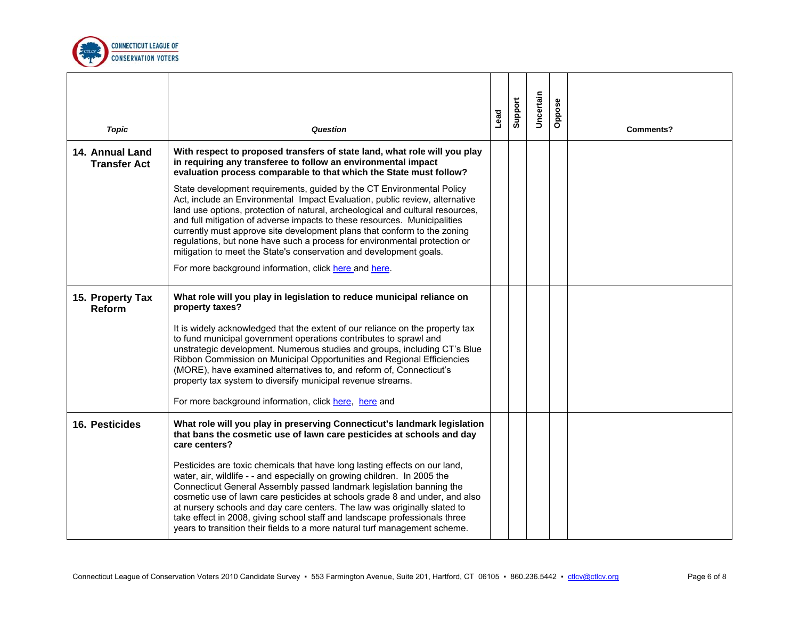

| <b>Topic</b>                           | Question                                                                                                                                                                                                                                                                                                                                                                                                                                                                                                                                                                                                    | Lead | Support | Uncertain | Oppose | <b>Comments?</b> |
|----------------------------------------|-------------------------------------------------------------------------------------------------------------------------------------------------------------------------------------------------------------------------------------------------------------------------------------------------------------------------------------------------------------------------------------------------------------------------------------------------------------------------------------------------------------------------------------------------------------------------------------------------------------|------|---------|-----------|--------|------------------|
| 14. Annual Land<br><b>Transfer Act</b> | With respect to proposed transfers of state land, what role will you play<br>in requiring any transferee to follow an environmental impact<br>evaluation process comparable to that which the State must follow?                                                                                                                                                                                                                                                                                                                                                                                            |      |         |           |        |                  |
|                                        | State development requirements, guided by the CT Environmental Policy<br>Act, include an Environmental Impact Evaluation, public review, alternative<br>land use options, protection of natural, archeological and cultural resources,<br>and full mitigation of adverse impacts to these resources. Municipalities<br>currently must approve site development plans that conform to the zoning<br>regulations, but none have such a process for environmental protection or<br>mitigation to meet the State's conservation and development goals.<br>For more background information, click here and here. |      |         |           |        |                  |
| 15. Property Tax<br><b>Reform</b>      | What role will you play in legislation to reduce municipal reliance on<br>property taxes?                                                                                                                                                                                                                                                                                                                                                                                                                                                                                                                   |      |         |           |        |                  |
|                                        | It is widely acknowledged that the extent of our reliance on the property tax<br>to fund municipal government operations contributes to sprawl and<br>unstrategic development. Numerous studies and groups, including CT's Blue<br>Ribbon Commission on Municipal Opportunities and Regional Efficiencies<br>(MORE), have examined alternatives to, and reform of, Connecticut's<br>property tax system to diversify municipal revenue streams.<br>For more background information, click here, here and                                                                                                    |      |         |           |        |                  |
| 16. Pesticides                         | What role will you play in preserving Connecticut's landmark legislation<br>that bans the cosmetic use of lawn care pesticides at schools and day<br>care centers?                                                                                                                                                                                                                                                                                                                                                                                                                                          |      |         |           |        |                  |
|                                        | Pesticides are toxic chemicals that have long lasting effects on our land,<br>water, air, wildlife - - and especially on growing children. In 2005 the<br>Connecticut General Assembly passed landmark legislation banning the<br>cosmetic use of lawn care pesticides at schools grade 8 and under, and also<br>at nursery schools and day care centers. The law was originally slated to<br>take effect in 2008, giving school staff and landscape professionals three<br>years to transition their fields to a more natural turf management scheme.                                                      |      |         |           |        |                  |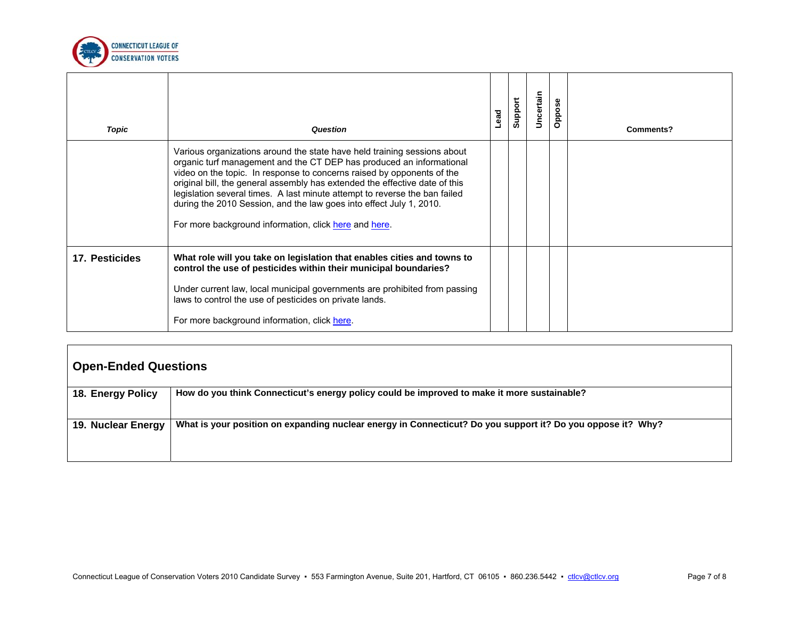

| Topic          | Question                                                                                                                                                                                                                                                                                                                                                                                                                                                                                                                | Lead | Support | Uncertain | Oppose | Comments? |
|----------------|-------------------------------------------------------------------------------------------------------------------------------------------------------------------------------------------------------------------------------------------------------------------------------------------------------------------------------------------------------------------------------------------------------------------------------------------------------------------------------------------------------------------------|------|---------|-----------|--------|-----------|
|                | Various organizations around the state have held training sessions about<br>organic turf management and the CT DEP has produced an informational<br>video on the topic. In response to concerns raised by opponents of the<br>original bill, the general assembly has extended the effective date of this<br>legislation several times. A last minute attempt to reverse the ban failed<br>during the 2010 Session, and the law goes into effect July 1, 2010.<br>For more background information, click here and here. |      |         |           |        |           |
| 17. Pesticides | What role will you take on legislation that enables cities and towns to<br>control the use of pesticides within their municipal boundaries?<br>Under current law, local municipal governments are prohibited from passing<br>laws to control the use of pesticides on private lands.<br>For more background information, click here.                                                                                                                                                                                    |      |         |           |        |           |

| <b>Open-Ended Questions</b> |                                                                                                             |  |  |  |  |  |  |
|-----------------------------|-------------------------------------------------------------------------------------------------------------|--|--|--|--|--|--|
| 18. Energy Policy           | How do you think Connecticut's energy policy could be improved to make it more sustainable?                 |  |  |  |  |  |  |
| 19. Nuclear Energy          | What is your position on expanding nuclear energy in Connecticut? Do you support it? Do you oppose it? Why? |  |  |  |  |  |  |